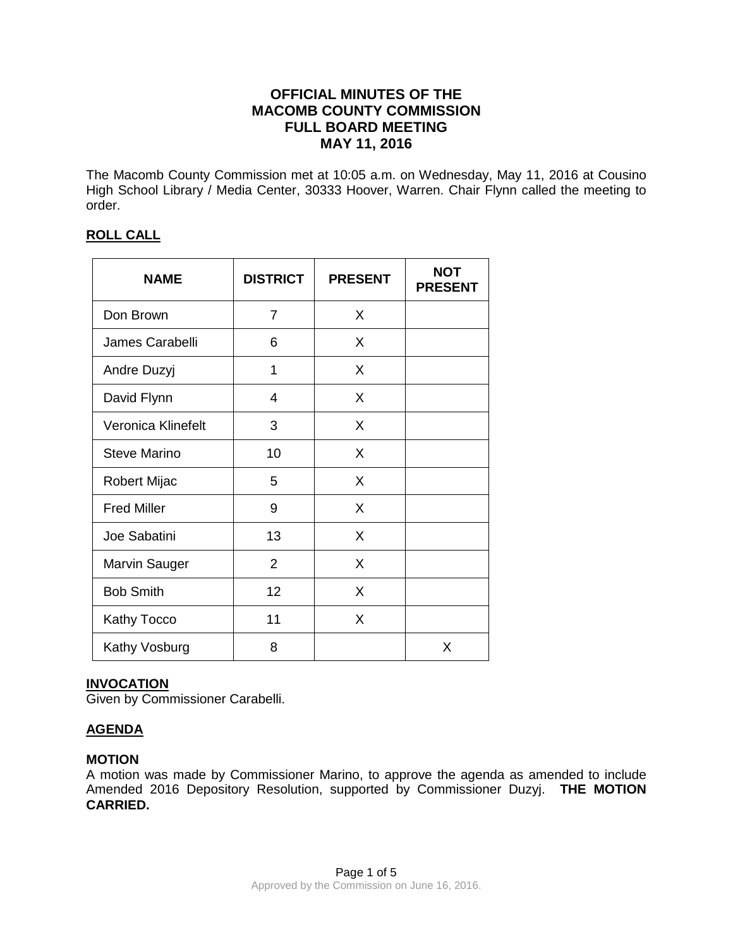# **OFFICIAL MINUTES OF THE MACOMB COUNTY COMMISSION FULL BOARD MEETING MAY 11, 2016**

The Macomb County Commission met at 10:05 a.m. on Wednesday, May 11, 2016 at Cousino High School Library / Media Center, 30333 Hoover, Warren. Chair Flynn called the meeting to order.

# **ROLL CALL**

| <b>NAME</b>          | <b>DISTRICT</b> | <b>PRESENT</b> | <b>NOT</b><br><b>PRESENT</b> |
|----------------------|-----------------|----------------|------------------------------|
| Don Brown            | $\overline{7}$  | X              |                              |
| James Carabelli      | 6               | X              |                              |
| Andre Duzyj          | 1               | X              |                              |
| David Flynn          | 4               | X              |                              |
| Veronica Klinefelt   | 3               | X              |                              |
| Steve Marino         | 10              | X              |                              |
| Robert Mijac         | 5               | X              |                              |
| <b>Fred Miller</b>   | 9               | X              |                              |
| Joe Sabatini         | 13              | X              |                              |
| <b>Marvin Sauger</b> | $\overline{2}$  | X              |                              |
| <b>Bob Smith</b>     | 12              | X              |                              |
| Kathy Tocco          | 11              | X              |                              |
| Kathy Vosburg        | 8               |                | X                            |

# **INVOCATION**

Given by Commissioner Carabelli.

# **AGENDA**

# **MOTION**

A motion was made by Commissioner Marino, to approve the agenda as amended to include Amended 2016 Depository Resolution, supported by Commissioner Duzyj. **THE MOTION CARRIED.**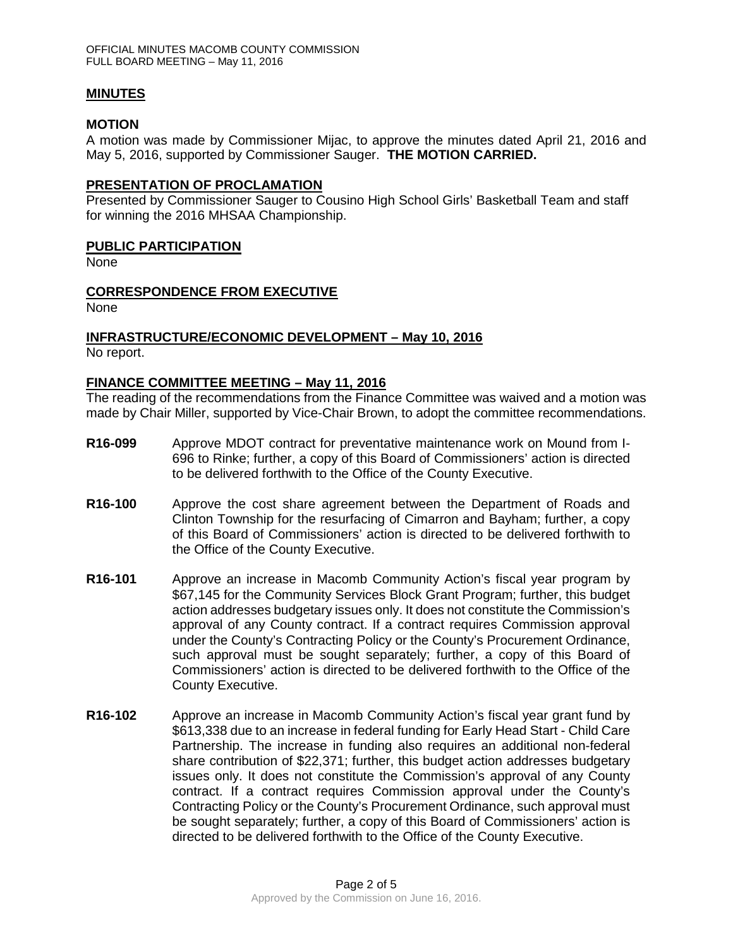## **MINUTES**

## **MOTION**

A motion was made by Commissioner Mijac, to approve the minutes dated April 21, 2016 and May 5, 2016, supported by Commissioner Sauger. **THE MOTION CARRIED.** 

#### **PRESENTATION OF PROCLAMATION**

Presented by Commissioner Sauger to Cousino High School Girls' Basketball Team and staff for winning the 2016 MHSAA Championship.

## **PUBLIC PARTICIPATION**

None

## **CORRESPONDENCE FROM EXECUTIVE**

None

# **INFRASTRUCTURE/ECONOMIC DEVELOPMENT – May 10, 2016**

No report.

## **FINANCE COMMITTEE MEETING – May 11, 2016**

The reading of the recommendations from the Finance Committee was waived and a motion was made by Chair Miller, supported by Vice-Chair Brown, to adopt the committee recommendations.

- **R16-099** Approve MDOT contract for preventative maintenance work on Mound from I-696 to Rinke; further, a copy of this Board of Commissioners' action is directed to be delivered forthwith to the Office of the County Executive.
- **R16-100** Approve the cost share agreement between the Department of Roads and Clinton Township for the resurfacing of Cimarron and Bayham; further, a copy of this Board of Commissioners' action is directed to be delivered forthwith to the Office of the County Executive.
- **R16-101** Approve an increase in Macomb Community Action's fiscal year program by \$67,145 for the Community Services Block Grant Program; further, this budget action addresses budgetary issues only. It does not constitute the Commission's approval of any County contract. If a contract requires Commission approval under the County's Contracting Policy or the County's Procurement Ordinance, such approval must be sought separately; further, a copy of this Board of Commissioners' action is directed to be delivered forthwith to the Office of the County Executive.
- **R16-102** Approve an increase in Macomb Community Action's fiscal year grant fund by \$613,338 due to an increase in federal funding for Early Head Start - Child Care Partnership. The increase in funding also requires an additional non-federal share contribution of \$22,371; further, this budget action addresses budgetary issues only. It does not constitute the Commission's approval of any County contract. If a contract requires Commission approval under the County's Contracting Policy or the County's Procurement Ordinance, such approval must be sought separately; further, a copy of this Board of Commissioners' action is directed to be delivered forthwith to the Office of the County Executive.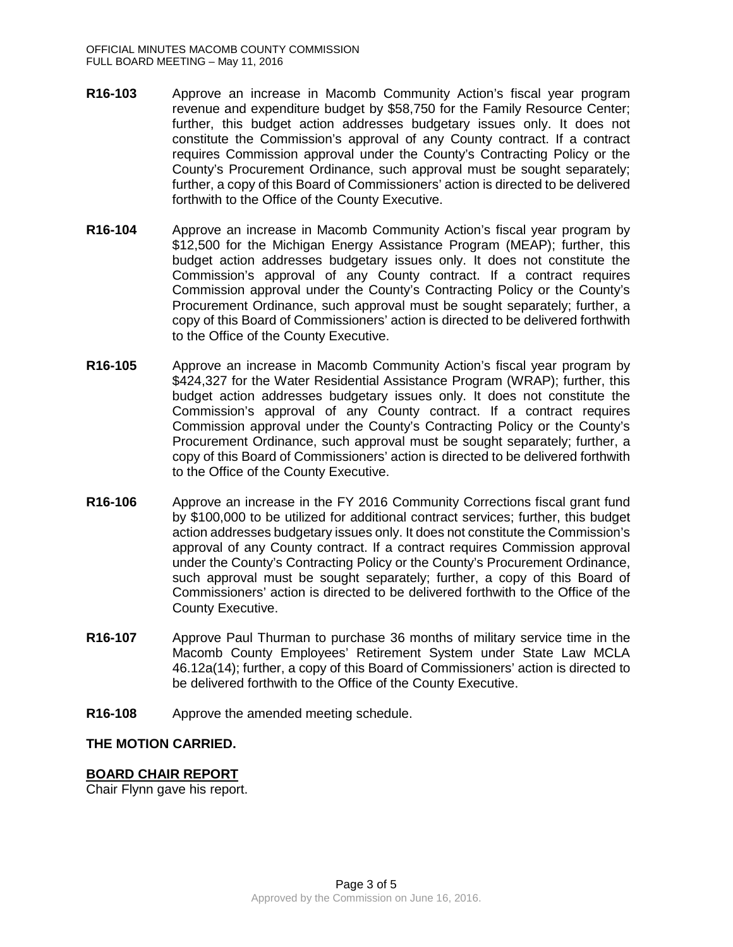- **R16-103** Approve an increase in Macomb Community Action's fiscal year program revenue and expenditure budget by \$58,750 for the Family Resource Center; further, this budget action addresses budgetary issues only. It does not constitute the Commission's approval of any County contract. If a contract requires Commission approval under the County's Contracting Policy or the County's Procurement Ordinance, such approval must be sought separately; further, a copy of this Board of Commissioners' action is directed to be delivered forthwith to the Office of the County Executive.
- **R16-104** Approve an increase in Macomb Community Action's fiscal year program by \$12,500 for the Michigan Energy Assistance Program (MEAP); further, this budget action addresses budgetary issues only. It does not constitute the Commission's approval of any County contract. If a contract requires Commission approval under the County's Contracting Policy or the County's Procurement Ordinance, such approval must be sought separately; further, a copy of this Board of Commissioners' action is directed to be delivered forthwith to the Office of the County Executive.
- **R16-105** Approve an increase in Macomb Community Action's fiscal year program by \$424,327 for the Water Residential Assistance Program (WRAP); further, this budget action addresses budgetary issues only. It does not constitute the Commission's approval of any County contract. If a contract requires Commission approval under the County's Contracting Policy or the County's Procurement Ordinance, such approval must be sought separately; further, a copy of this Board of Commissioners' action is directed to be delivered forthwith to the Office of the County Executive.
- **R16-106** Approve an increase in the FY 2016 Community Corrections fiscal grant fund by \$100,000 to be utilized for additional contract services; further, this budget action addresses budgetary issues only. It does not constitute the Commission's approval of any County contract. If a contract requires Commission approval under the County's Contracting Policy or the County's Procurement Ordinance, such approval must be sought separately; further, a copy of this Board of Commissioners' action is directed to be delivered forthwith to the Office of the County Executive.
- **R16-107** Approve Paul Thurman to purchase 36 months of military service time in the Macomb County Employees' Retirement System under State Law MCLA 46.12a(14); further, a copy of this Board of Commissioners' action is directed to be delivered forthwith to the Office of the County Executive.
- **R16-108** Approve the amended meeting schedule.

## **THE MOTION CARRIED.**

## **BOARD CHAIR REPORT**

Chair Flynn gave his report.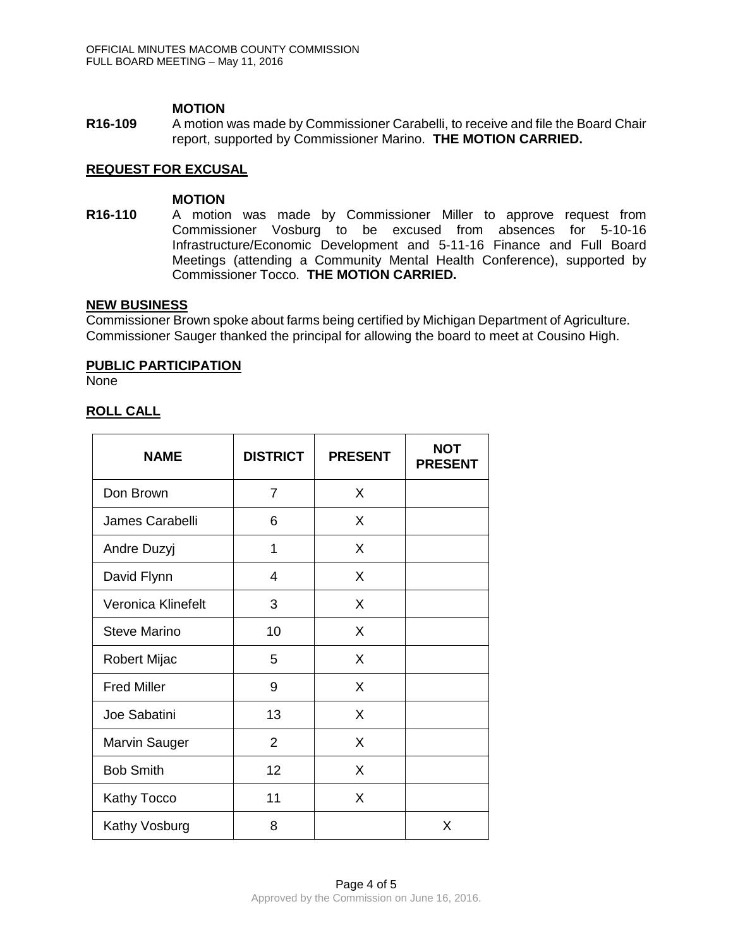## **MOTION**

**R16-109** A motion was made by Commissioner Carabelli, to receive and file the Board Chair report, supported by Commissioner Marino. **THE MOTION CARRIED.**

## **REQUEST FOR EXCUSAL**

#### **MOTION**

**R16-110** A motion was made by Commissioner Miller to approve request from Commissioner Vosburg to be excused from absences for 5-10-16 Infrastructure/Economic Development and 5-11-16 Finance and Full Board Meetings (attending a Community Mental Health Conference), supported by Commissioner Tocco. **THE MOTION CARRIED.**

## **NEW BUSINESS**

Commissioner Brown spoke about farms being certified by Michigan Department of Agriculture. Commissioner Sauger thanked the principal for allowing the board to meet at Cousino High.

#### **PUBLIC PARTICIPATION**

None

## **ROLL CALL**

| <b>NAME</b>         | <b>DISTRICT</b> | <b>PRESENT</b> | <b>NOT</b><br><b>PRESENT</b> |
|---------------------|-----------------|----------------|------------------------------|
| Don Brown           | $\overline{7}$  | X              |                              |
| James Carabelli     | 6               | X              |                              |
| Andre Duzyj         | 1               | X              |                              |
| David Flynn         | 4               | X              |                              |
| Veronica Klinefelt  | 3               | X              |                              |
| <b>Steve Marino</b> | 10              | X              |                              |
| <b>Robert Mijac</b> | 5               | X              |                              |
| <b>Fred Miller</b>  | 9               | X              |                              |
| Joe Sabatini        | 13              | X              |                              |
| Marvin Sauger       | $\overline{2}$  | X              |                              |
| <b>Bob Smith</b>    | 12              | X              |                              |
| Kathy Tocco         | 11              | X              |                              |
| Kathy Vosburg       | 8               |                | X                            |